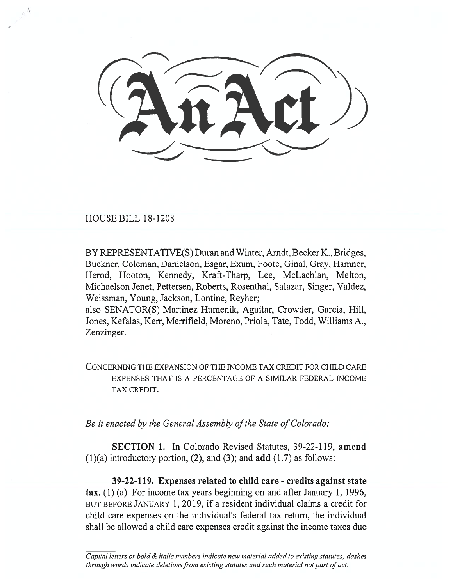HOUSE BILL 18-1208

BY REPRESENTATIVE(S) Duran and Winter, Arndt, Becker K., Bridges, Buckner, Coleman, Danielson, Esgar, Exum, Foote, Ginal, Gray, Hamner, Herod, Hooton, Kennedy, Kraft-Tharp, Lee, McLachlan, Melton, Michaelson Jenet, Pettersen, Roberts, Rosenthal, Salazar, Singer, Valdez, Weissman, Young, Jackson, Lontine, Reyher;

also SENATOR(S) Martinez Humenik, Aguilar, Crowder, Garcia, Hill, Jones, Kefalas, Kerr, Merrifield, Moreno, Priola, Tate, Todd, Williams A., Zenzinger.

CONCERNING THE EXPANSION OF THE INCOME TAX CREDIT FOR CHILD CARE EXPENSES THAT IS A PERCENTAGE OF A SIMILAR FEDERAL INCOME TAX CREDIT.

*Be it enacted by the General Assembly of the State of Colorado:* 

**SECTION 1.** In Colorado Revised Statutes, 39-22-119, **amend**  (1)(a) introductory portion, (2), and (3); and **add** (1.7) as follows:

**39-22-119. Expenses related to child care - credits against state tax.** (1) (a) For income tax years beginning on and after January 1, 1996, BUT BEFORE JANUARY 1, 2019, if a resident individual claims a credit for child care expenses on the individual's federal tax return, the individual shall be allowed a child care expenses credit against the income taxes due

*Capital letters or bold & italic numbers indicate new material added to existing statutes; dashes through words indicate deletions from existing statutes and such material not part of act.*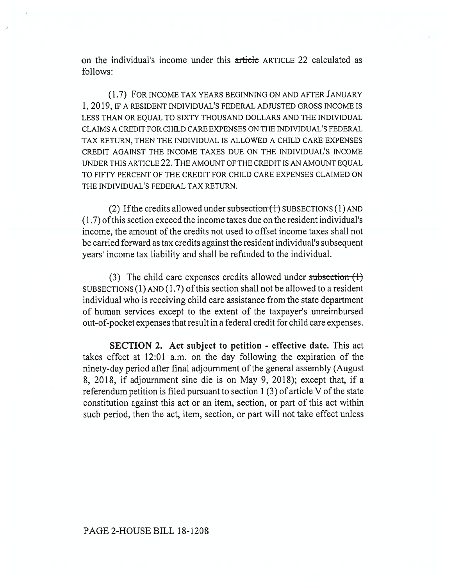on the individual's income under this article ARTICLE 22 calculated as follows:

(1.7) FOR INCOME TAX YEARS BEGINNING ON AND AFTER JANUARY 1, 2019, IF A RESIDENT INDIVIDUAL'S FEDERAL ADJUSTED GROSS INCOME IS LESS THAN OR EQUAL TO SIXTY THOUSAND DOLLARS AND THE INDIVIDUAL CLAIMS A CREDIT FOR CHILD CARE EXPENSES ON THE INDIVIDUAL'S FEDERAL TAX RETURN, THEN THE INDIVIDUAL IS ALLOWED A CHILD CARE EXPENSES CREDIT AGAINST THE INCOME TAXES DUE ON THE INDIVIDUAL'S INCOME UNDER THIS ARTICLE 22. THE AMOUNT OF THE CREDIT IS AN AMOUNT EQUAL TO FIFTY PERCENT OF THE CREDIT FOR CHILD CARE EXPENSES CLAIMED ON THE INDIVIDUAL'S FEDERAL TAX RETURN.

(2) If the credits allowed under subsection  $(1)$  SUBSECTIONS  $(1)$  AND (1.7) of this section exceed the income taxes due on the resident individual's income, the amount of the credits not used to offset income taxes shall not be carried forward as tax credits against the resident individual's subsequent years' income tax liability and shall be refunded to the individual.

(3) The child care expenses credits allowed under subsection  $(1)$ SUBSECTIONS (1) AND (1.7) of this section shall not be allowed to a resident individual who is receiving child care assistance from the state department of human services except to the extent of the taxpayer's unreimbursed out-of-pocket expenses that result in a federal credit for child care expenses.

**SECTION 2. Act subject to petition - effective date.** This act takes effect at 12:01 a.m. on the day following the expiration of the ninety-day period after final adjournment of the general assembly (August 8, 2018, if adjournment sine die is on May 9, 2018); except that, if a referendum petition is filed pursuant to section 1 (3) of article V of the state constitution against this act or an item, section, or part of this act within such period, then the act, item, section, or part will not take effect unless